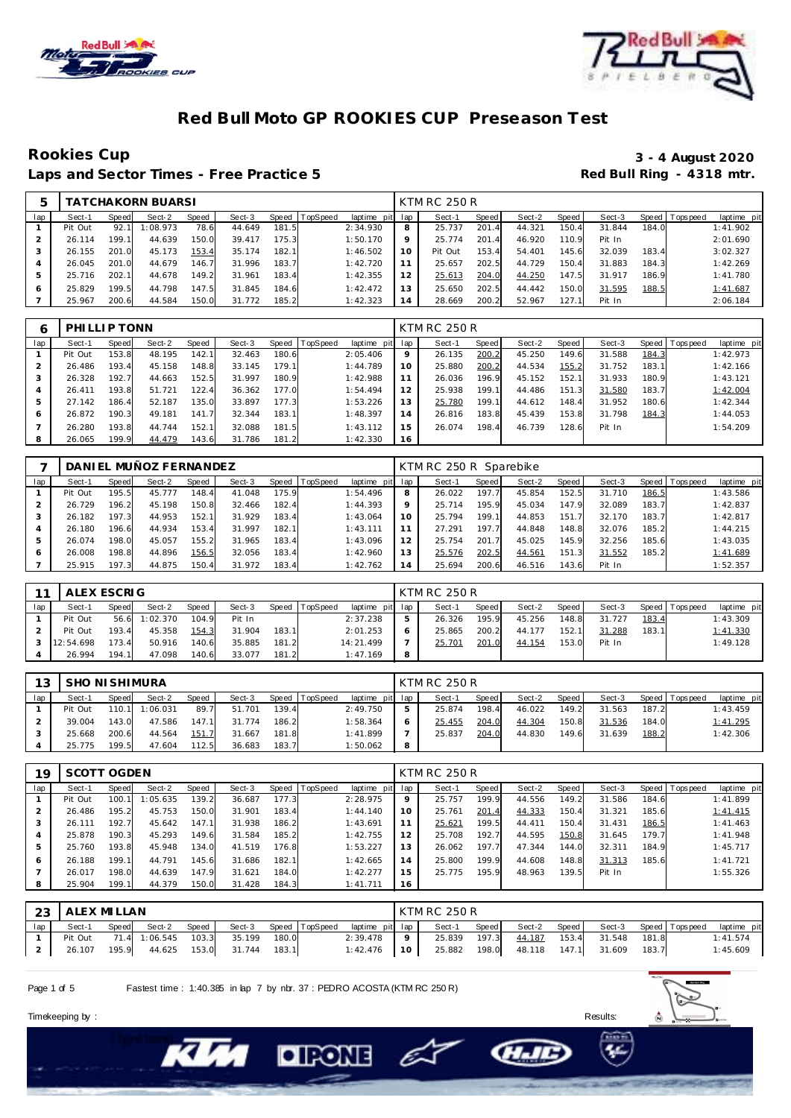



### **Red Bull Moto GP ROOKIES CUP Preseason Test**

Laps and Sector Times - Free Practice 5

# Rookies Cup<br>
1920 - 3 - 4 August 2020<br>
Red Bull Ring - 4318 mtr.

|     |         |       | <b>TATCHAKORN BUARSI</b> |       |        |       |          |             |         | KTM RC 250 R |       |        |       |        |         |                   |             |
|-----|---------|-------|--------------------------|-------|--------|-------|----------|-------------|---------|--------------|-------|--------|-------|--------|---------|-------------------|-------------|
| lap | Sect-1  | Speed | Sect-2                   | Speed | Sect-3 | Speed | TopSpeed | laptime pit | lap     | Sect-1       | Speed | Sect-2 | Speed | Sect-3 | Speed I | <b>T</b> ops peed | laptime pit |
|     | Pit Out | 92.1  | 1:08.973                 | 78.6  | 44.649 | 181.5 |          | 2:34.930    | 8       | 25.737       | 201.4 | 44.321 | 150.4 | 31.844 | 184.0   |                   | 1:41.902    |
|     | 26.114  | 199.1 | 44.639                   | 150.0 | 39.417 | 175.3 |          | 1:50.170    | $\circ$ | 25.774       | 201.4 | 46.920 | 110.9 | Pit In |         |                   | 2:01.690    |
|     | 26.155  | 201.0 | 45.173                   | 153.4 | 35.174 | 182.1 |          | 1:46.502    | 10      | Pit Out      | 153.4 | 54.401 | 145.6 | 32.039 | 183.4   |                   | 3:02.327    |
|     | 26.045  | 201.0 | 44.679                   | 146.7 | 31.996 | 183.7 |          | 1:42.720    | 11      | 25.657       | 202.5 | 44.729 | 150.4 | 31.883 | 184.3   |                   | 1:42.269    |
|     | 25.716  | 202.1 | 44.678                   | 149.2 | 31.961 | 183.4 |          | 1:42.355    | 12      | 25.613       | 204.0 | 44.250 | 147.5 | 31.917 | 186.9   |                   | 1:41.780    |
|     | 25.829  | 199.5 | 44.798                   | 147.5 | 31.845 | 184.6 |          | 1:42.472    | 13      | 25.650       | 202.5 | 44.442 | 150.0 | 31.595 | 188.5   |                   | 1:41.687    |
|     | 25.967  | 200.6 | 44.584                   | 150.0 | 31.772 | 185.2 |          | 1:42.323    | 14      | 28.669       | 200.2 | 52.967 | 127.1 | Pit In |         |                   | 2:06.184    |

| 6   | PHILLIP TONN |       |        |       |        |         |          |                 |    | <b>KTM RC 250 R</b> |       |        |       |        |       |                 |             |
|-----|--------------|-------|--------|-------|--------|---------|----------|-----------------|----|---------------------|-------|--------|-------|--------|-------|-----------------|-------------|
| lap | Sect-1       | Speed | Sect-2 | Speed | Sect-3 | Speed I | TopSpeed | laptime pit lap |    | Sect-1              | Speed | Sect-2 | Speed | Sect-3 |       | Speed Tops peed | laptime pit |
|     | Pit Out      | 153.8 | 48.195 | 142.1 | 32.463 | 180.6   |          | 2:05.406        | 9  | 26.135              | 200.2 | 45.250 | 149.6 | 31.588 | 184.3 |                 | 1:42.973    |
|     | 26.486       | 193.4 | 45.158 | 148.8 | 33.145 | 179.1   |          | 1:44.789        | 10 | 25.880              | 200.2 | 44.534 | 155.2 | 31.752 | 183.1 |                 | 1:42.166    |
| 3   | 26.328       | 192.7 | 44.663 | 152.5 | 31.997 | 180.9   |          | 1:42.988        |    | 26.036              | 196.9 | 45.152 | 152.1 | 31.933 | 180.9 |                 | 1:43.121    |
| 4   | 26.411       | 193.8 | 51.721 | 122.4 | 36.362 | 177.0   |          | 1:54.494        |    | 25.938              | 199.1 | 44.486 | 151.3 | 31.580 | 183.7 |                 | 1:42.004    |
| 5   | 27.142       | 186.4 | 52.187 | 135.0 | 33.897 | 177.3   |          | 1:53.226        |    | 25.780              | 199.1 | 44.612 | 148.4 | 31.952 | 180.6 |                 | 1:42.344    |
| 6   | 26.872       | 190.3 | 49.181 | 141.7 | 32.344 | 183.1   |          | 1:48.397        | 14 | 26.816              | 183.8 | 45.439 | 153.8 | 31.798 | 184.3 |                 | 1:44.053    |
|     | 26.280       | 193.8 | 44.744 | 152.1 | 32.088 | 181.5   |          | 1:43.112        | 15 | 26.074              | 198.4 | 46.739 | 128.6 | Pit In |       |                 | 1:54.209    |
| 8   | 26.065       | 199.9 | 44.479 | 143.6 | 31.786 | 181.2   |          | 1:42.330        | 16 |                     |       |        |       |        |       |                 |             |

|     |         |       | DANIEL MUÑOZ FERNANDEZ |       |        |       |                |                 |         | KTM RC 250 R Sparebike |       |        |       |        |       |                |             |
|-----|---------|-------|------------------------|-------|--------|-------|----------------|-----------------|---------|------------------------|-------|--------|-------|--------|-------|----------------|-------------|
| lap | Sect-1  | Speed | Sect-2                 | Speed | Sect-3 |       | Speed TopSpeed | laptime pit lap |         | Sect-1                 | Speed | Sect-2 | Speed | Sect-3 |       | Speed Topspeed | laptime pit |
|     | Pit Out | 195.5 | 45.777                 | 148.4 | 41.048 | 175.9 |                | 1:54.496        | 8       | 26.022                 | 197.7 | 45.854 | 152.5 | 31.710 | 186.5 |                | 1:43.586    |
|     | 26.729  | 196.2 | 45.198                 | 150.8 | 32.466 | 182.4 |                | 1:44.393        | $\circ$ | 25.714                 | 195.9 | 45.034 | 147.9 | 32.089 | 183.7 |                | 1:42.837    |
|     | 26.182  | 197.3 | 44.953                 | 152.1 | 31.929 | 183.4 |                | 1:43.064        | 10      | 25.794                 | 199.1 | 44.853 | 151.7 | 32.170 | 183.7 |                | 1:42.817    |
|     | 26.180  | 196.6 | 44.934                 | 153.4 | 31.997 | 182.1 |                | 1:43.111        |         | 27.291                 | 197.7 | 44.848 | 148.8 | 32.076 | 185.2 |                | 1:44.215    |
|     | 26.074  | 198.0 | 45.057                 | 155.2 | 31.965 | 183.4 |                | 1:43.096        |         | 25.754                 | 201.7 | 45.025 | 145.9 | 32.256 | 185.6 |                | 1:43.035    |
|     | 26.008  | 198.8 | 44.896                 | 156.5 | 32.056 | 183.4 |                | 1:42.960        |         | 25.576                 | 202.5 | 44.561 | 151.3 | 31.552 | 185.2 |                | 1:41.689    |
|     | 25.915  | 197.3 | 44.875                 | 150.4 | 31.972 | 183.4 |                | 1:42.762        | 14      | 25.694                 | 200.6 | 46.516 | 143.6 | Pit In |       |                | 1:52.357    |

| 11  | ALEX ESCRIG        |       |          |              |        |       |                |                 |   | KTM RC 250 R |       |        |       |        |       |                 |             |
|-----|--------------------|-------|----------|--------------|--------|-------|----------------|-----------------|---|--------------|-------|--------|-------|--------|-------|-----------------|-------------|
| lap | Sect-1             | Speed | Sect-2   | <b>Speed</b> | Sect-3 |       | Speed TopSpeed | laptime pit lap |   | Sect-1       | Speed | Sect-2 | Speed | Sect-3 |       | Speed Tops peed | laptime pit |
|     | Pit Out            | 56.6  | 1:02.370 | 104.9        | Pit In |       |                | 2:37.238        |   | 26.326       | 195.9 | 45.256 | 148.8 | 31.727 | 183.4 |                 | 1:43.309    |
|     | Pit Out            | 193.4 | 45.358   | 154.3        | 31.904 | 183.1 |                | 2:01.253        |   | 25.865       | 200.2 | 44.177 | 152.1 | 31.288 | 183.1 |                 | 1:41.330    |
|     | $3 \mid 12:54.698$ | 173.4 | 50.916   | 140.6        | 35.885 | 181.2 |                | 14:21.499       |   | 25.701       | 201.0 | 44.154 | 153.0 | Pit In |       |                 | 1:49.128    |
|     | 26.994             | 194.1 | 47.098   | 140.6        | 33.077 | 181.2 |                | 1:47.169        | 8 |              |       |        |       |        |       |                 |             |

| 13 |         | <b>SHO NI SHIMURA</b><br>Speed TopSpeed<br>Sect-2<br>Speed<br>Sect-3<br>Speed<br>110.1 1:06.031<br>89.7<br>51.701<br>139.4 |        |       |        |       |  |                 |    | <b>KTM RC 250 R</b> |         |        |         |        |       |                   |             |
|----|---------|----------------------------------------------------------------------------------------------------------------------------|--------|-------|--------|-------|--|-----------------|----|---------------------|---------|--------|---------|--------|-------|-------------------|-------------|
|    | Sect-1  |                                                                                                                            |        |       |        |       |  | laptime pit lap |    | Sect-1              | Speed I | Sect-2 | Speed I | Sect-3 |       | Speed   Tops peed | laptime pit |
|    | Pit Out |                                                                                                                            |        |       |        |       |  | 2:49.750        | 5  | 25.874              | 198.4   | 46.022 | 149.2   | 31.563 | 187.2 |                   | 1:43.459    |
|    | 39.004  | 143.0                                                                                                                      | 47.586 | 147.1 | 31.774 | 186.2 |  | 1:58.364        | 6  | 25.455              | 204.0   | 44.304 | 150.8   | 31.536 | 184.0 |                   | 1:41.295    |
|    | 25.668  | 200.6                                                                                                                      | 44.564 | 151.7 | 31.667 | 181.8 |  | 1:41.899        |    | 25.837              | 204.0   | 44.830 | 149.6   | 31.639 | 188.2 |                   | 1:42.306    |
|    | 25.775  | 199.5                                                                                                                      | 47.604 | 112.5 | 36.683 | 183.7 |  | 1:50.062        | -8 |                     |         |        |         |        |       |                   |             |

| 19  | SCOTT OGDEN |       |          |       |        |       |          |             |         | <b>KTM RC 250 R</b> |       |        |       |        |       |                |             |
|-----|-------------|-------|----------|-------|--------|-------|----------|-------------|---------|---------------------|-------|--------|-------|--------|-------|----------------|-------------|
| lap | Sect-1      | Speed | Sect-2   | Speed | Sect-3 | Speed | TopSpeed | laptime pit | lap     | Sect-1              | Speed | Sect-2 | Speed | Sect-3 |       | Speed Topspeed | laptime pit |
|     | Pit Out     | 100.  | 1:05.635 | 139.2 | 36.687 | 177.3 |          | 2:28.975    | $\circ$ | 25.757              | 199.9 | 44.556 | 149.2 | 31.586 | 184.6 |                | 1:41.899    |
|     | 26.486      | 195.2 | 45.753   | 150.0 | 31.901 | 183.4 |          | 1:44.140    | 10      | 25.761              | 201.4 | 44.333 | 150.4 | 31.321 | 185.6 |                | 1:41.415    |
| 3   | 26.111      | 192.7 | 45.642   | 147.1 | 31.938 | 186.2 |          | 1:43.691    | 11      | 25.621              | 199.5 | 44.411 | 150.4 | 31.431 | 186.5 |                | 1:41.463    |
| 4   | 25.878      | 190.3 | 45.293   | 149.6 | 31.584 | 185.2 |          | 1:42.755    | 12      | 25.708              | 192.7 | 44.595 | 150.8 | 31.645 | 179.7 |                | 1:41.948    |
| 5   | 25.760      | 193.8 | 45.948   | 134.0 | 41.519 | 176.8 |          | 1:53.227    | 13      | 26.062              | 197.7 | 47.344 | 144.0 | 32.311 | 184.9 |                | 1:45.717    |
| 6   | 26.188      | 199.1 | 44.791   | 145.6 | 31.686 | 182.1 |          | 1:42.665    | 14      | 25.800              | 199.9 | 44.608 | 148.8 | 31.313 | 185.6 |                | 1: 41.721   |
|     | 26.017      | 198.0 | 44.639   | 147.9 | 31.621 | 184.0 |          | 1:42.277    | 15      | 25.775              | 195.9 | 48.963 | 139.5 | Pit In |       |                | 1:55.326    |
| 8   | 25.904      | 199.1 | 44.379   | 150.0 | 31.428 | 184.3 |          | 1:41.711    | 16      |                     |       |        |       |        |       |                |             |

| 23  | I ALEX MILLAN |       |                     |       |        |       |                                       |             | KTM RC 250 R |       |              |       |        |       |                       |             |
|-----|---------------|-------|---------------------|-------|--------|-------|---------------------------------------|-------------|--------------|-------|--------------|-------|--------|-------|-----------------------|-------------|
| lap | Sect-1        | Speed | Sect-2              | Speed |        |       | Sect-3 Speed TopSpeed laptime pit lap |             | Sect-1       | Speed | Sect-2 Speed |       |        |       | Sect-3 Speed Topspeed | laptime pit |
|     | Pit Out       |       | 71.4 1:06.545 103.3 |       | 35.199 | 180.0 | 2:39.478                              | $\mathbf Q$ | 25.839       | 197.3 | 44.187       | 153.4 | 31.548 | 181.8 |                       | 1:41.574    |
|     | 26.107        | 195.9 | 44.625 153.0        |       | 31.744 | 183.1 | 1:42.476                              | 10          | 25.882       | 198.0 | 48.118       | 147.1 | 31.609 | 183.7 |                       | 1:45.609    |

e

**CHAID** 

Page 1 of 5 Fastest time : 1:40.385 in lap 7 by nbr. 37 : PEDRO ACOSTA (KTM RC 250 R)

**DIRONE** 



Timekeeping by : Results: Results: Results: Results: Results: Results: Results: Results: Results: Results: Results: Results: Results: Results: Results: Results: Results: Results: Results: Results: Results: Results: Results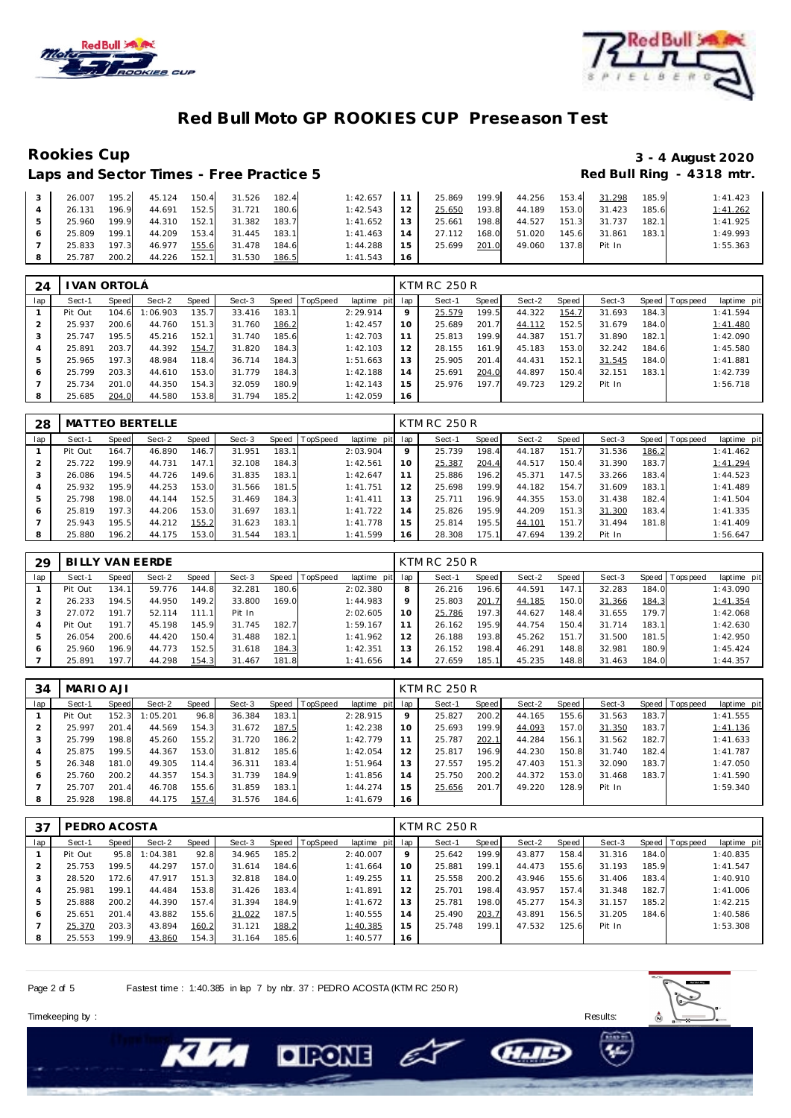



### **Red Bull Moto GP ROOKIES CUP Preseason Test**

## Rookies Cup<br>
1992 - 3 - 4 August 2020<br>
Red Bull Ring - 4318 mtr.

| Laps and Sector Times - Free Practice 5 |       |        |       |        |       |          |                 |        |       |        |       |        |       | Red Bull Ring - 4318 mtr |
|-----------------------------------------|-------|--------|-------|--------|-------|----------|-----------------|--------|-------|--------|-------|--------|-------|--------------------------|
| 26.007                                  | 195.2 | 45.124 | 150.4 | 31.526 | 182.4 | 1:42.657 | 11              | 25.869 | 199.9 | 44.256 | 153.4 | 31.298 | 185.9 | 1:41.423                 |
| 26.131                                  | 196.9 | 44.691 | 152.5 | 31.721 | 180.6 | 1:42.543 | 12 <sub>1</sub> | 25.650 | 193.8 | 44.189 | 153.0 | 31.423 | 185.6 | 1:41.262                 |
| 25.960                                  | 199.9 | 44.310 | 152.1 | 31.382 | 183.7 | 1:41.652 | 1.3             | 25.661 | 198.8 | 44.527 | 151.3 | 31.737 | 182.1 | 1:41.925                 |
| 25.809                                  | 199.1 | 44.209 | 153.4 | 31.445 | 183.1 | 1:41.463 | 14              | 27.112 | 168.0 | 51.020 | 145.6 | 31.861 | 183.1 | 1:49.993                 |
| 25.833                                  | 197.3 | 46.977 | 155.6 | 31.478 | 184.6 | 1:44.288 | 15              | 25.699 | 201.0 | 49.060 | 137.8 | Pit In |       | 1:55.363                 |
| 25.787                                  | 200.2 | 44.226 | 152.1 | 31.530 | 186.5 | 1:41.543 | 16              |        |       |        |       |        |       |                          |

| 24  |         | VAN ORTOLÁ |          |       |        |       |                  |                 |    | <b>KTM RC 250 R</b> |       |        |       |        |       |                |             |
|-----|---------|------------|----------|-------|--------|-------|------------------|-----------------|----|---------------------|-------|--------|-------|--------|-------|----------------|-------------|
| lap | Sect-1  | Speed      | Sect-2   | Speed | Sect-3 |       | Speed   TopSpeed | laptime pit lap |    | Sect-1              | Speed | Sect-2 | Speed | Sect-3 |       | Speed Topspeed | laptime pit |
|     | Pit Out | 104.6      | 1:06.903 | 135.7 | 33.416 | 183.1 |                  | 2:29.914        | 9  | 25.579              | 199.5 | 44.322 | 154.7 | 31.693 | 184.3 |                | 1:41.594    |
|     | 25.937  | 200.6      | 44.760   | 151.3 | 31.760 | 186.2 |                  | 1:42.457        | 10 | 25.689              | 201.7 | 44.112 | 152.5 | 31.679 | 184.0 |                | 1:41.480    |
|     | 25.747  | 195.5      | 45.216   | 152.1 | 31.740 | 185.6 |                  | 1:42.703        |    | 25.813              | 199.9 | 44.387 | 151.7 | 31.890 | 182.1 |                | 1:42.090    |
|     | 25.891  | 203.7      | 44.392   | 154.7 | 31.820 | 184.3 |                  | 1:42.103        | 12 | 28.155              | 161.9 | 45.183 | 153.0 | 32.242 | 184.6 |                | 1:45.580    |
| 5   | 25.965  | 197.3      | 48.984   | 118.4 | 36.714 | 184.3 |                  | 1:51.663        | 13 | 25.905              | 201.4 | 44.431 | 152.1 | 31.545 | 184.0 |                | 1:41.881    |
| 6   | 25.799  | 203.3      | 44.610   | 153.0 | 31.779 | 184.3 |                  | 1:42.188        | 14 | 25.691              | 204.0 | 44.897 | 150.4 | 32.151 | 183.1 |                | 1:42.739    |
|     | 25.734  | 201.0      | 44.350   | 154.3 | 32.059 | 180.9 |                  | 1:42.143        | 15 | 25.976              | 197.7 | 49.723 | 129.2 | Pit In |       |                | 1:56.718    |
| 8   | 25.685  | 204.0      | 44.580   | 153.8 | 31.794 | 185.2 |                  | 1:42.059        | 16 |                     |       |        |       |        |       |                |             |

| 28  |         |       | MATTEO BERTELLE |       |        |       |          |             |     | <b>KTM RC 250 R</b> |       |        |       |        |       |           |             |
|-----|---------|-------|-----------------|-------|--------|-------|----------|-------------|-----|---------------------|-------|--------|-------|--------|-------|-----------|-------------|
| lap | Sect-1  | Speed | Sect-2          | Speed | Sect-3 | Speed | TopSpeed | laptime pit | lap | Sect-1              | Speed | Sect-2 | Speed | Sect-3 | Speed | Tops peed | laptime pit |
|     | Pit Out | 164.7 | 46.890          | 146.7 | 31.951 | 183.1 |          | 2:03.904    | 9   | 25.739              | 198.4 | 44.187 | 151.7 | 31.536 | 186.2 |           | 1:41.462    |
|     | 25.722  | 199.9 | 44.731          | 147.1 | 32.108 | 184.3 |          | 1:42.561    | 10  | 25.387              | 204.4 | 44.517 | 150.4 | 31.390 | 183.7 |           | 1:41.294    |
|     | 26.086  | 194.5 | 44.726          | 149.6 | 31.835 | 183.1 |          | 1:42.647    | 11  | 25.886              | 196.2 | 45.371 | 147.5 | 33.266 | 183.4 |           | 1:44.523    |
| 4   | 25.932  | 195.9 | 44.253          | 153.0 | 31.566 | 181.5 |          | 1:41.751    | 12  | 25.698              | 199.9 | 44.182 | 154.7 | 31.609 | 183.1 |           | 1:41.489    |
| 5   | 25.798  | 198.0 | 44.144          | 152.5 | 31.469 | 184.3 |          | 1: 41.411   | 13  | 25.711              | 196.9 | 44.355 | 153.0 | 31.438 | 182.4 |           | 1:41.504    |
| 6   | 25.819  | 197.3 | 44.206          | 153.0 | 31.697 | 183.1 |          | 1:41.722    | 14  | 25.826              | 195.9 | 44.209 | 151.3 | 31.300 | 183.4 |           | 1:41.335    |
|     | 25.943  | 195.5 | 44.212          | 155.2 | 31.623 | 183.1 |          | 1:41.778    | 15  | 25.814              | 195.5 | 44.101 | 151.7 | 31.494 | 181.8 |           | 1:41.409    |
| 8   | 25.880  | 196.2 | 44.175          | 153.0 | 31.544 | 183.1 |          | 1:41.599    | 16  | 28.308              | 175.1 | 47.694 | 139.2 | Pit In |       |           | 1:56.647    |

| 29  |         |       | BILLY VAN EERDE |       |        |       |                  |             |     | <b>KTM RC 250 R</b> |       |        |       |        |         |            |             |
|-----|---------|-------|-----------------|-------|--------|-------|------------------|-------------|-----|---------------------|-------|--------|-------|--------|---------|------------|-------------|
| lap | Sect-1  | Speed | Sect-2          | Speed | Sect-3 |       | Speed   TopSpeed | laptime pit | lap | Sect-1              | Speed | Sect-2 | Speed | Sect-3 | Speed I | T ops peed | laptime pit |
|     | Pit Out | 134.1 | 59.776          | 144.8 | 32.281 | 180.6 |                  | 2:02.380    | 8   | 26.216              | 196.6 | 44.591 | 147.1 | 32.283 | 184.0   |            | 1:43.090    |
|     | 26.233  | 194.5 | 44.950          | 149.2 | 33,800 | 169.0 |                  | 1:44.983    | 9   | 25.803              | 201.7 | 44.185 | 150.0 | 31.366 | 184.3   |            | 1:41.354    |
| 3   | 27.072  | 191.7 | 52.114          | 111.1 | Pit In |       |                  | 2:02.605    | 10  | 25.786              | 197.3 | 44.627 | 148.4 | 31.655 | 179.7   |            | 1:42.068    |
|     | Pit Out | 191.7 | 45.198          | 145.9 | 31.745 | 182.7 |                  | 1:59.167    |     | 26.162              | 195.9 | 44.754 | 150.4 | 31.714 | 183.1   |            | 1:42.630    |
| 5   | 26.054  | 200.6 | 44.420          | 150.4 | 31.488 | 182.1 |                  | 1:41.962    | 12  | 26.188              | 193.8 | 45.262 | 151.7 | 31.500 | 181.5   |            | 1:42.950    |
| 6   | 25.960  | 196.9 | 44.773          | 152.5 | 31.618 | 184.3 |                  | 1:42.351    | 13  | 26.152              | 198.4 | 46.291 | 148.8 | 32.981 | 180.9   |            | 1:45.424    |
|     | 25.891  | 197.7 | 44.298          | 154.3 | 31.467 | 181.8 |                  | 1:41.656    | 14  | 27.659              | 185.1 | 45.235 | 148.8 | 31.463 | 184.0   |            | 1:44.357    |

| 34  | MARIO AJI |       |          |       |        |       |          |                 |                 | <b>KTM RC 250 R</b> |       |        |       |        |       |                |             |
|-----|-----------|-------|----------|-------|--------|-------|----------|-----------------|-----------------|---------------------|-------|--------|-------|--------|-------|----------------|-------------|
| lap | Sect-1    | Speed | Sect-2   | Speed | Sect-3 | Speed | TopSpeed | laptime pit lap |                 | Sect-1              | Speed | Sect-2 | Speed | Sect-3 |       | Speed Topspeed | laptime pit |
|     | Pit Out   | 152.3 | 1:05.201 | 96.8  | 36.384 | 183.1 |          | 2:28.915        | 9               | 25.827              | 200.2 | 44.165 | 155.6 | 31.563 | 183.7 |                | 1:41.555    |
|     | 25.997    | 201.4 | 44.569   | 154.3 | 31.672 | 187.5 |          | 1:42.238        | 10              | 25.693              | 199.9 | 44.093 | 157.0 | 31.350 | 183.7 |                | 1:41.136    |
|     | 25.799    | 198.8 | 45.260   | 155.2 | 31.720 | 186.2 |          | 1:42.779        | 11              | 25.787              | 202.1 | 44.284 | 156.1 | 31.562 | 182.7 |                | 1:41.633    |
|     | 25.875    | 199.5 | 44.367   | 153.0 | 31.812 | 185.6 |          | 1:42.054        | 12 <sub>1</sub> | 25.817              | 196.9 | 44.230 | 150.8 | 31.740 | 182.4 |                | 1:41.787    |
|     | 26.348    | 181.0 | 49.305   | 114.4 | 36.311 | 183.4 |          | 1:51.964        | 13              | 27.557              | 195.2 | 47.403 | 151.3 | 32.090 | 183.7 |                | 1:47.050    |
| 6   | 25.760    | 200.2 | 44.357   | 154.3 | 31.739 | 184.9 |          | 1:41.856        | 14              | 25.750              | 200.2 | 44.372 | 153.0 | 31.468 | 183.7 |                | 1:41.590    |
|     | 25.707    | 201.4 | 46.708   | 155.6 | 31.859 | 183.1 |          | 1:44.274        | 15              | 25.656              | 201.7 | 49.220 | 128.9 | Pit In |       |                | 1:59.340    |
|     | 25.928    | 198.8 | 44.175   | 157.4 | 31.576 | 184.6 |          | 1:41.679        | 16              |                     |       |        |       |        |       |                |             |

| 37  | PEDRO ACOSTA |       |          |       |        |       |                |                 |         | KTM RC 250 R |       |        |       |        |       |                |             |
|-----|--------------|-------|----------|-------|--------|-------|----------------|-----------------|---------|--------------|-------|--------|-------|--------|-------|----------------|-------------|
| lap | Sect-1       | Speed | Sect-2   | Speed | Sect-3 |       | Speed TopSpeed | laptime pit lap |         | Sect-1       | Speed | Sect-2 | Speed | Sect-3 |       | Speed Topspeed | laptime pit |
|     | Pit Out      | 95.8  | 1:04.381 | 92.8  | 34.965 | 185.2 |                | 2:40.007        | $\circ$ | 25.642       | 199.9 | 43.877 | 158.4 | 31.316 | 184.0 |                | 1:40.835    |
|     | 25.753       | 199.5 | 44.297   | 157.0 | 31.614 | 184.6 |                | 1:41.664        | 10      | 25.881       | 199.1 | 44.473 | 155.6 | 31.193 | 185.9 |                | 1:41.547    |
| 3   | 28.520       | 172.6 | 47.917   | 151.3 | 32.818 | 184.0 |                | 1:49.255        | 11      | 25.558       | 200.2 | 43.946 | 155.6 | 31.406 | 183.4 |                | 1:40.910    |
| 4   | 25.981       | 199.1 | 44.484   | 153.8 | 31.426 | 183.4 |                | 1:41.891        | 12      | 25.701       | 198.4 | 43.957 | 157.4 | 31.348 | 182.7 |                | 1:41.006    |
| 5   | 25.888       | 200.2 | 44.390   | 157.4 | 31.394 | 184.9 |                | 1:41.672        | 13      | 25.781       | 198.0 | 45.277 | 154.3 | 31.157 | 185.2 |                | 1:42.215    |
| 6   | 25.651       | 201.4 | 43.882   | 155.6 | 31.022 | 187.5 |                | 1:40.555        | 14      | 25.490       | 203.7 | 43.891 | 156.5 | 31.205 | 184.6 |                | 1:40.586    |
|     | 25.370       | 203.3 | 43.894   | 160.2 | 31.121 | 188.2 |                | 1:40.385        | 15      | 25.748       | 199.1 | 47.532 | 125.6 | Pit In |       |                | 1:53.308    |
| 8   | 25.553       | 199.9 | 43.860   | 154.3 | 31.164 | 185.6 |                | 1:40.577        | 16      |              |       |        |       |        |       |                |             |

C)

Page 2 of 5 Fastest time : 1:40.385 in lap 7 by nbr. 37 : PEDRO ACOSTA (KTM RC 250 R)

**DIPONE** 



Timekeeping by : Results: Results: Results: Results: Results: Results: Results: Results: Results: Results: Results: Results: Results: Results: Results: Results: Results: Results: Results: Results: Results: Results: Results

**CHAID**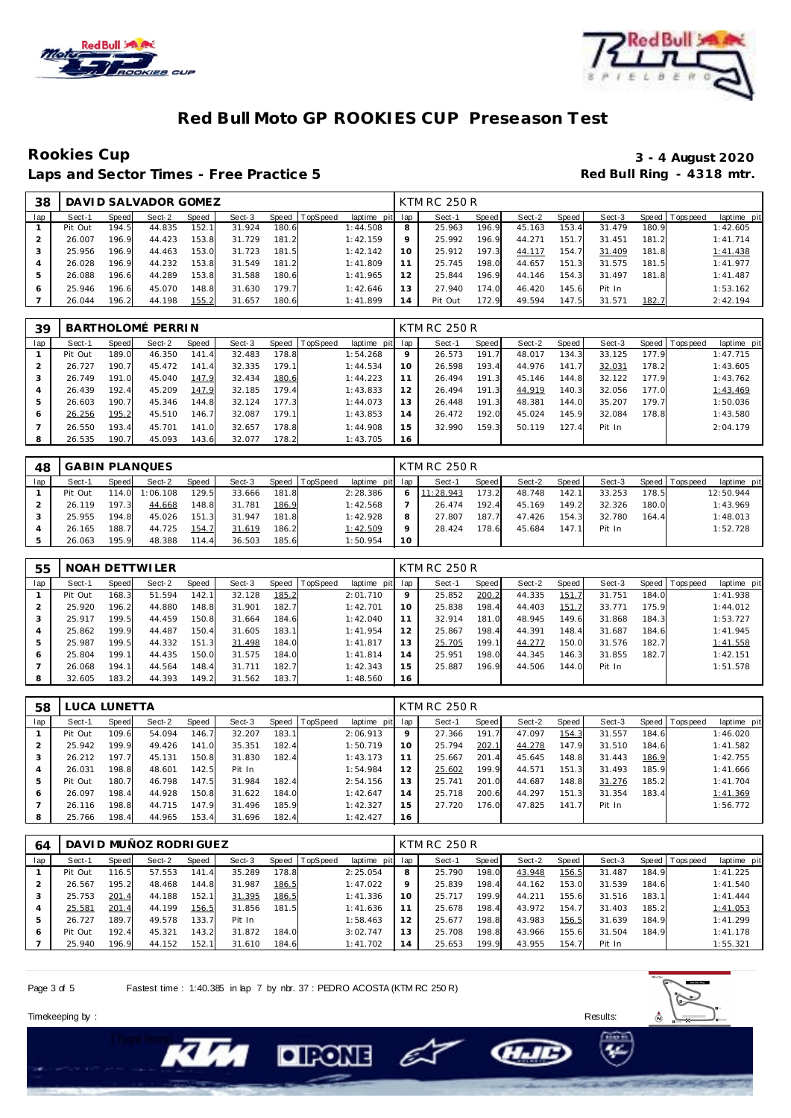



### **Red Bull Moto GP ROOKIES CUP Preseason Test**

Laps and Sector Times - Free Practice 5

# Rookies Cup<br>
1920 - 3 - 4 August 2020<br>
Red Bull Ring - 4318 mtr.

| 38  |         |       | DAVID SALVADOR GOMEZ |       |        |       |          |             |     | KTM RC 250 R |       |        |       |        |       |                 |             |
|-----|---------|-------|----------------------|-------|--------|-------|----------|-------------|-----|--------------|-------|--------|-------|--------|-------|-----------------|-------------|
| lap | Sect-1  | Speed | Sect-2               | Speed | Sect-3 | Speed | TopSpeed | laptime pit | lap | Sect-1       | Speed | Sect-2 | Speed | Sect-3 |       | Speed Tops peed | laptime pit |
|     | Pit Out | 194.5 | 44.835               | 152.1 | 31.924 | 180.6 |          | 1:44.508    | 8   | 25.963       | 196.9 | 45.163 | 153.4 | 31.479 | 180.9 |                 | 1:42.605    |
|     | 26.007  | 196.9 | 44.423               | 153.8 | 31.729 | 181.2 |          | 1:42.159    | Q   | 25.992       | 196.9 | 44.271 | 151   | 31.451 | 181.2 |                 | 1:41.714    |
|     | 25.956  | 196.9 | 44.463               | 153.0 | 31.723 | 181.5 |          | 1:42.142    | 10  | 25.912       | 197.3 | 44.117 | 154.7 | 31.409 | 181.8 |                 | 1:41.438    |
|     | 26.028  | 196.9 | 44.232               | 153.8 | 31.549 | 181.2 |          | 1:41.809    | 11  | 25.745       | 198.0 | 44.657 | 151.3 | 31.575 | 181.5 |                 | 1:41.977    |
|     | 26.088  | 196.6 | 44.289               | 153.8 | 31.588 | 180.6 |          | 1:41.965    | 12  | 25.844       | 196.9 | 44.146 | 154.3 | 31.497 | 181.8 |                 | 1:41.487    |
|     | 25.946  | 196.6 | 45.070               | 148.8 | 31.630 | 179.7 |          | 1:42.646    | 13  | 27.940       | 174.0 | 46.420 | 145.6 | Pit In |       |                 | 1:53.162    |
|     | 26.044  | 196.2 | 44.198               | 155.2 | 31.657 | 180.6 |          | 1:41.899    | 14  | Pit Out      | 172.9 | 49.594 | 147.5 | 31.571 | 182.7 |                 | 2:42.194    |

| 39  |         |       | BARTHOLOMÉ PERRIN |       |        |       |          |             |     | KTM RC 250 R |       |        |       |        |       |                |             |
|-----|---------|-------|-------------------|-------|--------|-------|----------|-------------|-----|--------------|-------|--------|-------|--------|-------|----------------|-------------|
| lap | Sect-1  | Speed | Sect-2            | Speed | Sect-3 | Speed | TopSpeed | laptime pit | lap | Sect-1       | Speed | Sect-2 | Speed | Sect-3 |       | Speed Topspeed | laptime pit |
|     | Pit Out | 189.0 | 46.350            | 141.4 | 32.483 | 178.8 |          | 1:54.268    | 9   | 26.573       | 191.7 | 48.017 | 134.3 | 33.125 | 177.9 |                | 1:47.715    |
|     | 26.727  | 190.7 | 45.472            | 141.4 | 32.335 | 179.1 |          | 1:44.534    | 10  | 26.598       | 193.4 | 44.976 | 141.7 | 32.031 | 178.2 |                | 1:43.605    |
|     | 26.749  | 191.0 | 45.040            | 147.9 | 32.434 | 180.6 |          | 1:44.223    |     | 26.494       | 191.3 | 45.146 | 144.8 | 32.122 | 177.9 |                | 1:43.762    |
|     | 26.439  | 192.4 | 45.209            | 147.9 | 32.185 | 179.4 |          | 1:43.833    | 12  | 26.494       | 191.3 | 44.919 | 140.3 | 32.056 | 177.0 |                | 1:43.469    |
| 5   | 26.603  | 190.7 | 45.346            | 144.8 | 32.124 | 177.3 |          | 1:44.073    | 13  | 26.448       | 191.3 | 48.381 | 144.0 | 35.207 | 179.7 |                | 1:50.036    |
| 6   | 26.256  | 195.2 | 45.510            | 146.7 | 32.087 | 179.1 |          | 1:43.853    | 14  | 26.472       | 192.0 | 45.024 | 145.9 | 32.084 | 178.8 |                | 1:43.580    |
|     | 26.550  | 193.4 | 45.701            | 141.0 | 32.657 | 178.8 |          | 1:44.908    | 15  | 32.990       | 159.3 | 50.119 | 127.4 | Pit In |       |                | 2:04.179    |
| 8   | 26.535  | 190.7 | 45.093            | 143.6 | 32.077 | 178.2 |          | 1:43.705    | 16  |              |       |        |       |        |       |                |             |

| 48  |         |       | GABIN PLANQUES |       |        |       |                |             |         | KTM RC 250 R |              |        |       |        |       |                 |             |
|-----|---------|-------|----------------|-------|--------|-------|----------------|-------------|---------|--------------|--------------|--------|-------|--------|-------|-----------------|-------------|
| lap | Sect-1  | Speed | Sect-2         | Speed | Sect-3 |       | Speed TopSpeed | laptime pit | lap     | Sect-1       | <b>Speed</b> | Sect-2 | Speed | Sect-3 |       | Speed Tops peed | laptime pit |
|     | Pit Out | 114.0 | 1:06.108       | 129.5 | 33.666 | 181.8 |                | 2:28.386    | 6       | 11:28.943    | 173.2        | 48.748 | 142.1 | 33.253 | 178.5 |                 | 12:50.944   |
|     | 26.119  | 197.3 | 44.668         | 148.8 | 31.781 | 186.9 |                | 1:42.568    |         | 26.474       | 192.4        | 45.169 | 149.2 | 32.326 | 180.0 |                 | 1:43.969    |
|     | 25.955  | 194.8 | 45.026         | 151.3 | 31.947 | 181.8 |                | 1:42.928    | 8       | 27.807       | 187.7        | 47.426 | 154.3 | 32.780 | 164.4 |                 | 1:48.013    |
|     | 26.165  | 188.7 | 44.725         | 154.7 | 31.619 | 186.2 |                | 1:42.509    | $\circ$ | 28.424       | 178.6        | 45.684 | 147.1 | Pit In |       |                 | 1:52.728    |
|     | 26.063  | 195.9 | 48.388         | 114.4 | 36.503 | 185.6 |                | 1:50.954    | 10      |              |              |        |       |        |       |                 |             |

| 55  |         |       | NOAH DETTWILER |       |        |       |                |             |     | <b>KTM RC 250 R</b> |       |        |       |        |       |                 |             |
|-----|---------|-------|----------------|-------|--------|-------|----------------|-------------|-----|---------------------|-------|--------|-------|--------|-------|-----------------|-------------|
| lap | Sect-1  | Speed | Sect-2         | Speed | Sect-3 |       | Speed TopSpeed | laptime pit | lap | Sect-1              | Speed | Sect-2 | Speed | Sect-3 |       | Speed Tops peed | laptime pit |
|     | Pit Out | 168.3 | 51.594         | 142.1 | 32.128 | 185.2 |                | 2:01.710    | 9   | 25.852              | 200.2 | 44.335 | 151.7 | 31.751 | 184.0 |                 | 1:41.938    |
| 2   | 25.920  | 196.2 | 44.880         | 148.8 | 31.901 | 182.7 |                | 1:42.701    | 10  | 25.838              | 198.4 | 44.403 | 151.7 | 33.771 | 175.9 |                 | 1:44.012    |
| 3   | 25.917  | 199.5 | 44.459         | 150.8 | 31.664 | 184.6 |                | 1:42.040    | 11  | 32.914              | 181.0 | 48.945 | 149.6 | 31.868 | 184.3 |                 | 1:53.727    |
| 4   | 25.862  | 199.9 | 44.487         | 150.4 | 31.605 | 183.1 |                | 1:41.954    | 12  | 25.867              | 198.4 | 44.391 | 148.4 | 31.687 | 184.6 |                 | 1:41.945    |
| 5   | 25.987  | 199.5 | 44.332         | 151.3 | 31.498 | 184.0 |                | 1:41.817    | 13  | 25.705              | 199.1 | 44.277 | 150.0 | 31.576 | 182.7 |                 | 1:41.558    |
| 6   | 25.804  | 199.1 | 44.435         | 150.0 | 31.575 | 184.0 |                | 1:41.814    | 14  | 25.951              | 198.0 | 44.345 | 146.3 | 31.855 | 182.7 |                 | 1:42.151    |
|     | 26.068  | 194.1 | 44.564         | 148.4 | 31.711 | 182.7 |                | 1:42.343    | 15  | 25.887              | 196.9 | 44.506 | 144.0 | Pit In |       |                 | 1:51.578    |
| 8   | 32.605  | 183.2 | 44.393         | 149.2 | 31.562 | 183.7 |                | 1:48.560    | 16  |                     |       |        |       |        |       |                 |             |

| 58  | LUCA LUNETTA |       |        |       |        |       |         |             |         | KTM RC 250 R |       |        |       |        |       |                 |             |
|-----|--------------|-------|--------|-------|--------|-------|---------|-------------|---------|--------------|-------|--------|-------|--------|-------|-----------------|-------------|
| lap | Sect-1       | Speed | Sect-2 | Speed | Sect-3 | Speed | opSpeed | laptime pit | lap     | Sect-1       | Speed | Sect-2 | Speed | Sect-3 |       | Speed Tops peed | laptime pit |
|     | Pit Out      | 109.6 | 54.094 | 146.7 | 32.207 | 183.1 |         | 2:06.913    | $\circ$ | 27.366       | 191.7 | 47.097 | 154.3 | 31.557 | 184.6 |                 | 1:46.020    |
|     | 25.942       | 199.9 | 49.426 | 141.0 | 35.351 | 182.4 |         | 1:50.719    | 10      | 25.794       | 202.1 | 44.278 | 147.9 | 31.510 | 184.6 |                 | 1:41.582    |
|     | 26.212       | 197.7 | 45.131 | 150.8 | 31.830 | 182.4 |         | 1:43.173    |         | 25.667       | 201.4 | 45.645 | 148.8 | 31.443 | 186.9 |                 | 1:42.755    |
| 4   | 26.031       | 198.8 | 48.601 | 142.5 | Pit In |       |         | 1:54.984    | 12      | 25.602       | 199.9 | 44.571 | 151.3 | 31.493 | 185.9 |                 | 1:41.666    |
| 5   | Pit Out      | 180.7 | 46.798 | 147.5 | 31.984 | 182.4 |         | 2:54.156    | 13      | 25.741       | 201.0 | 44.687 | 148.8 | 31.276 | 185.2 |                 | 1:41.704    |
| O   | 26.097       | 198.4 | 44.928 | 150.8 | 31.622 | 184.0 |         | 1:42.647    | 14      | 25.718       | 200.6 | 44.297 | 151.3 | 31.354 | 183.4 |                 | 1:41.369    |
|     | 26.116       | 198.8 | 44.715 | 147.9 | 31.496 | 185.9 |         | 1:42.327    | 15      | 27.720       | 176.0 | 47.825 | 141.7 | Pit In |       |                 | 1:56.772    |
| 8   | 25.766       | 198.4 | 44.965 | 153.4 | 31.696 | 182.4 |         | 1:42.427    | 16      |              |       |        |       |        |       |                 |             |

| 64  |         |       | DAVI D MUÑOZ RODRI GUEZ |       |        |       |          |                 |         | <b>KTM RC 250 R</b> |       |        |       |        |       |            |             |
|-----|---------|-------|-------------------------|-------|--------|-------|----------|-----------------|---------|---------------------|-------|--------|-------|--------|-------|------------|-------------|
| lap | Sect-1  | Speed | Sect-2                  | Speed | Sect-3 | Speed | TopSpeed | laptime pit lap |         | Sect-1              | Speed | Sect-2 | Speed | Sect-3 | Speed | Tops pee d | laptime pit |
|     | Pit Out | 116.5 | 57.553                  | 141.4 | 35.289 | 178.8 |          | 2:25.054        | 8       | 25.790              | 198.0 | 43.948 | 156.5 | 31.487 | 184.9 |            | 1:41.225    |
|     | 26.567  | 195.2 | 48.468                  | 144.8 | 31.987 | 186.5 |          | 1:47.022        | $\circ$ | 25.839              | 198.4 | 44.162 | 153.0 | 31.539 | 184.6 |            | 1:41.540    |
|     | 25.753  | 201.4 | 44.188                  | 152.1 | 31.395 | 186.5 |          | 1:41.336        | 10      | 25.717              | 199.9 | 44.211 | 155.6 | 31.516 | 183.1 |            | 1:41.444    |
| 4   | 25.581  | 201.4 | 44.199                  | 156.5 | 31.856 | 181.5 |          | 1:41.636        |         | 25.678              | 198.4 | 43.972 | 154.7 | 31.403 | 185.2 |            | 1:41.053    |
|     | 26.727  | 189.7 | 49.578                  | 133.7 | Pit In |       |          | 1:58.463        |         | 25.677              | 198.8 | 43.983 | 156.5 | 31.639 | 184.9 |            | 1:41.299    |
|     | Pit Out | 192.4 | 45.321                  | 143.2 | 31.872 | 184.0 |          | 3:02.747        | 13      | 25.708              | 198.8 | 43.966 | 155.6 | 31.504 | 184.9 |            | 1:41.178    |
|     | 25.940  | 196.9 | 44.152                  | 152.1 | 31.610 | 184.6 |          | 1:41.702        | 14      | 25.653              | 199.9 | 43.955 | 154.7 | Pit In |       |            | 1:55.321    |

e

Page 3 of 5 Fastest time : 1:40.385 in lap 7 by nbr. 37 : PEDRO ACOSTA (KTM RC 250 R)

**DIRONE** 





**GLIE**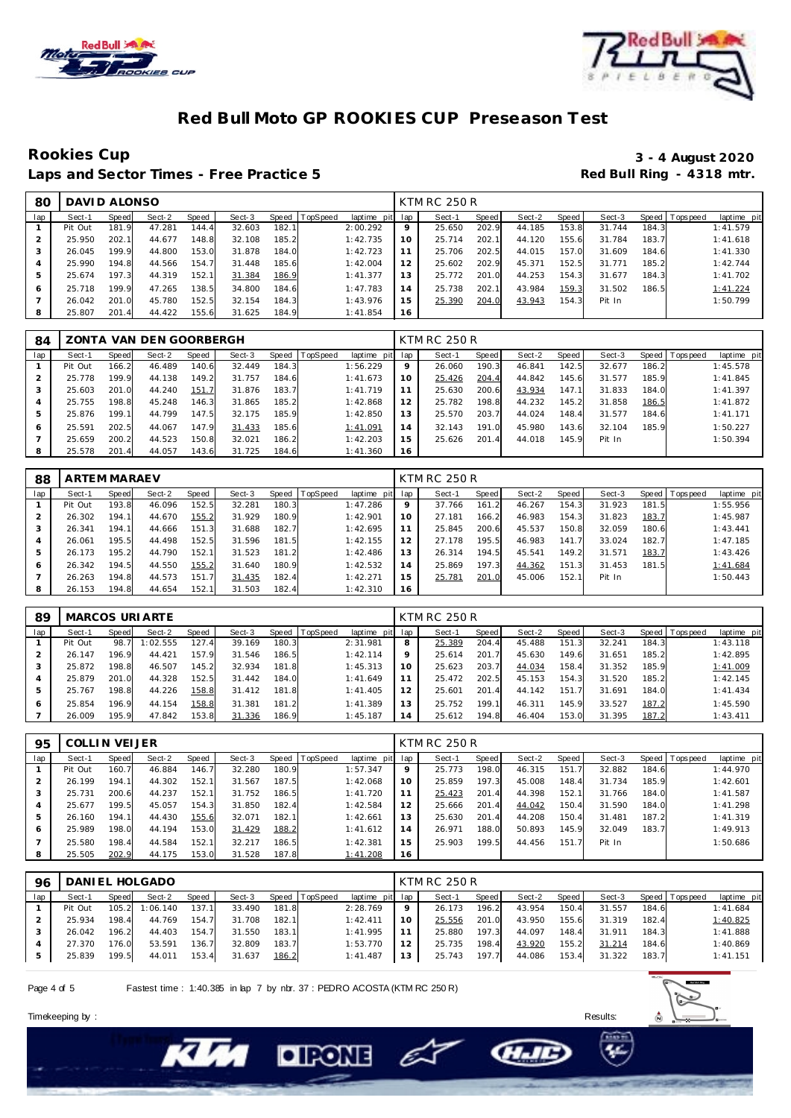



### **Red Bull Moto GP ROOKIES CUP Preseason Test**

Laps and Sector Times - Free Practice 5

# Rookies Cup<br>
1920 - 3 - 4 August 2020<br>
Red Bull Ring - 4318 mtr.

| 80  | DAVID ALONSO |       |        |       |        |       |                |                 |     | <b>KTM RC 250 R</b> |       |        |       |        |       |                 |             |
|-----|--------------|-------|--------|-------|--------|-------|----------------|-----------------|-----|---------------------|-------|--------|-------|--------|-------|-----------------|-------------|
| lap | Sect-1       | Speed | Sect-2 | Speed | Sect-3 |       | Speed TopSpeed | laptime pit lap |     | Sect-1              | Speed | Sect-2 | Speed | Sect-3 |       | Speed Tops peed | laptime pit |
|     | Pit Out      | 181.9 | 47.281 | 144.4 | 32.603 | 182.1 |                | 2:00.292        | 9   | 25.650              | 202.9 | 44.185 | 153.8 | 31.744 | 184.3 |                 | 1:41.579    |
|     | 25.950       | 202.1 | 44.677 | 148.8 | 32.108 | 185.2 |                | 1:42.735        | 10  | 25.714              | 202.1 | 44.120 | 155.6 | 31.784 | 183.7 |                 | 1:41.618    |
| 3   | 26.045       | 199.9 | 44.800 | 153.0 | 31.878 | 184.0 |                | 1:42.723        |     | 25.706              | 202.5 | 44.015 | 157.0 | 31.609 | 184.6 |                 | 1:41.330    |
|     | 25.990       | 194.8 | 44.566 | 154.7 | 31.448 | 185.6 |                | 1:42.004        | 12  | 25.602              | 202.9 | 45.371 | 152.5 | 31.771 | 185.2 |                 | 1:42.744    |
| 5   | 25.674       | 197.3 | 44.319 | 152.1 | 31.384 | 186.9 |                | 1:41.377        | 3 ا | 25.772              | 201.0 | 44.253 | 154.3 | 31.677 | 184.3 |                 | 1:41.702    |
| 6   | 25.718       | 199.9 | 47.265 | 138.5 | 34.800 | 184.6 |                | 1:47.783        | 14  | 25.738              | 202.1 | 43.984 | 159.3 | 31.502 | 186.5 |                 | 1:41.224    |
|     | 26.042       | 201.0 | 45.780 | 152.5 | 32.154 | 184.3 |                | 1:43.976        | 15  | 25.390              | 204.0 | 43.943 | 154.3 | Pit In |       |                 | 1:50.799    |
| 8   | 25.807       | 201.4 | 44.422 | 155.6 | 31.625 | 184.9 |                | 1:41.854        | 16  |                     |       |        |       |        |       |                 |             |

| 84  |         |       | ZONTA VAN DEN GOORBERGH |       |        |       |          |                 |         | KTM RC 250 R |       |        |       |        |       |                |             |
|-----|---------|-------|-------------------------|-------|--------|-------|----------|-----------------|---------|--------------|-------|--------|-------|--------|-------|----------------|-------------|
| lap | Sect-1  | Speed | Sect-2                  | Speed | Sect-3 | Speed | TopSpeed | laptime pit lap |         | Sect-1       | Speed | Sect-2 | Speed | Sect-3 |       | Speed Topspeed | laptime pit |
|     | Pit Out | 166.2 | 46.489                  | 140.6 | 32.449 | 184.3 |          | 1:56.229        | $\circ$ | 26.060       | 190.3 | 46.841 | 142.5 | 32.677 | 186.2 |                | 1:45.578    |
|     | 25.778  | 199.9 | 44.138                  | 149.2 | 31.757 | 184.6 |          | 1:41.673        | 10      | 25.426       | 204.4 | 44.842 | 145.6 | 31.577 | 185.9 |                | 1:41.845    |
|     | 25.603  | 201.0 | 44.240                  | 151.7 | 31.876 | 183.7 |          | 1:41.719        |         | 25.630       | 200.6 | 43.934 | 147.1 | 31.833 | 184.0 |                | 1:41.397    |
| 4   | 25.755  | 198.8 | 45.248                  | 146.3 | 31.865 | 185.2 |          | 1:42.868        | 12      | 25.782       | 198.8 | 44.232 | 145.2 | 31.858 | 186.5 |                | 1:41.872    |
| 5   | 25.876  | 199.1 | 44.799                  | 147.5 | 32.175 | 185.9 |          | 1:42.850        | 13      | 25.570       | 203.7 | 44.024 | 148.4 | 31.577 | 184.6 |                | 1:41.171    |
| 6   | 25.591  | 202.5 | 44.067                  | 147.9 | 31.433 | 185.6 |          | 1:41.091        | 14      | 32.143       | 191.0 | 45.980 | 143.6 | 32.104 | 185.9 |                | 1:50.227    |
|     | 25.659  | 200.2 | 44.523                  | 150.8 | 32.021 | 186.2 |          | 1:42.203        | 15      | 25.626       | 201.4 | 44.018 | 145.9 | Pit In |       |                | 1:50.394    |
|     | 25.578  | 201.4 | 44.057                  | 143.6 | 31.725 | 184.6 |          | 1:41.360        | 16      |              |       |        |       |        |       |                |             |

| 88  | <b>ARTEM MARAEV</b> |       |        |       |        |       |                |             |     | <b>KTM RC 250 R</b> |       |        |       |        |       |                |             |
|-----|---------------------|-------|--------|-------|--------|-------|----------------|-------------|-----|---------------------|-------|--------|-------|--------|-------|----------------|-------------|
| lap | Sect-1              | Speed | Sect-2 | Speed | Sect-3 |       | Speed TopSpeed | laptime pit | lap | Sect-1              | Speed | Sect-2 | Speed | Sect-3 |       | Speed Topspeed | laptime pit |
|     | Pit Out             | 193.8 | 46.096 | 152.5 | 32.281 | 180.3 |                | 1:47.286    | 9   | 37.766              | 161.2 | 46.267 | 154.3 | 31.923 | 181.5 |                | 1:55.956    |
|     | 26.302              | 194.1 | 44.670 | 155.2 | 31.929 | 180.9 |                | 1:42.901    | 10  | 27.181              | 166.2 | 46.983 | 154.3 | 31.823 | 183.7 |                | 1:45.987    |
| 3   | 26.341              | 194.1 | 44.666 | 151.3 | 31.688 | 182.7 |                | 1:42.695    | 11  | 25.845              | 200.6 | 45.537 | 150.8 | 32.059 | 180.6 |                | 1:43.441    |
| 4   | 26.061              | 195.5 | 44.498 | 152.5 | 31.596 | 181.5 |                | 1:42.155    | 12  | 27.178              | 195.5 | 46.983 | 141.7 | 33.024 | 182.7 |                | 1:47.185    |
| 5   | 26.173              | 195.2 | 44.790 | 152.1 | 31.523 | 181.2 |                | 1:42.486    | 13  | 26.314              | 194.5 | 45.541 | 149.2 | 31.571 | 183.7 |                | 1:43.426    |
| 6   | 26.342              | 194.5 | 44.550 | 155.2 | 31.640 | 180.9 |                | 1:42.532    | 14  | 25.869              | 197.3 | 44.362 | 151.3 | 31.453 | 181.5 |                | 1:41.684    |
|     | 26.263              | 194.8 | 44.573 | 151.7 | 31.435 | 182.4 |                | 1:42.271    | 15  | 25.781              | 201.0 | 45.006 | 152.1 | Pit In |       |                | 1:50.443    |
| 8   | 26.153              | 194.8 | 44.654 | 152.1 | 31.503 | 182.4 |                | 1:42.310    | 16  |                     |       |        |       |        |       |                |             |

| 89  |         |       | MARCOS URIARTE |       |        |       |                |                 |         | KTM RC 250 R |       |        |       |        |       |                |             |
|-----|---------|-------|----------------|-------|--------|-------|----------------|-----------------|---------|--------------|-------|--------|-------|--------|-------|----------------|-------------|
| lap | Sect-1  | Speed | Sect-2         | Speed | Sect-3 |       | Speed TopSpeed | laptime pit lap |         | Sect-1       | Speed | Sect-2 | Speed | Sect-3 |       | Speed Topspeed | laptime pit |
|     | Pit Out | 98.   | 1:02.555       | 127.4 | 39.169 | 180.3 |                | 2:31.981        | 8       | 25.389       | 204.4 | 45.488 | 151.3 | 32.241 | 184.3 |                | 1:43.118    |
|     | 26.147  | 196.9 | 44.421         | 157.9 | 31.546 | 186.5 |                | 1:42.114        | $\circ$ | 25.614       | 201.7 | 45.630 | 149.6 | 31.651 | 185.2 |                | 1:42.895    |
|     | 25.872  | 198.8 | 46.507         | 145.2 | 32.934 | 181.8 |                | 1:45.313        | 10      | 25.623       | 203.7 | 44.034 | 158.4 | 31.352 | 185.9 |                | 1:41.009    |
|     | 25.879  | 201.0 | 44.328         | 152.5 | 31.442 | 184.0 |                | 1:41.649        | 11      | 25.472       | 202.5 | 45.153 | 154.3 | 31.520 | 185.2 |                | 1:42.145    |
| .5  | 25.767  | 198.8 | 44.226         | 158.8 | 31.412 | 181.8 |                | 1: 41.405       | 12      | 25.601       | 201.4 | 44.142 | 151.7 | 31.691 | 184.0 |                | 1: 41.434   |
| 6   | 25.854  | 196.9 | 44.154         | 158.8 | 31.381 | 181.2 |                | 1:41.389        | 13      | 25.752       | 199.1 | 46.311 | 145.9 | 33.527 | 187.2 |                | 1:45.590    |
|     | 26.009  | 195.9 | 47.842         | 153.8 | 31.336 | 186.9 |                | 1:45.187        | 14      | 25.612       | 194.8 | 46.404 | 153.0 | 31.395 | 187.2 |                | 1:43.411    |

| 95  | COLLIN VEIJER |       |        |       |        |       |          |                 |         | KTM RC 250 R |       |        |       |        |       |                 |             |
|-----|---------------|-------|--------|-------|--------|-------|----------|-----------------|---------|--------------|-------|--------|-------|--------|-------|-----------------|-------------|
| lap | Sect-1        | Speed | Sect-2 | Speed | Sect-3 | Speed | TopSpeed | laptime pit lap |         | Sect-1       | Speed | Sect-2 | Speed | Sect-3 |       | Speed Tops peed | laptime pit |
|     | Pit Out       | 160.7 | 46.884 | 146.7 | 32.280 | 180.9 |          | 1:57.347        | $\circ$ | 25.773       | 198.0 | 46.315 | 151.7 | 32.882 | 184.6 |                 | 1:44.970    |
|     | 26.199        | 194.1 | 44.302 | 152.1 | 31.567 | 187.5 |          | 1:42.068        | 10      | 25.859       | 197.3 | 45.008 | 148.4 | 31.734 | 185.9 |                 | 1:42.601    |
| 3   | 25.731        | 200.6 | 44.237 | 152.1 | 31.752 | 186.5 |          | 1:41.720        |         | 25.423       | 201.4 | 44.398 | 152.1 | 31.766 | 184.0 |                 | 1:41.587    |
| 4   | 25.677        | 199.5 | 45.057 | 154.3 | 31.850 | 182.4 |          | 1:42.584        | 12      | 25.666       | 201.4 | 44.042 | 150.4 | 31.590 | 184.0 |                 | 1:41.298    |
| 5   | 26.160        | 194.1 | 44.430 | 155.6 | 32.071 | 182.1 |          | 1:42.661        | 13      | 25.630       | 201.4 | 44.208 | 150.4 | 31.481 | 187.2 |                 | 1:41.319    |
| 6   | 25.989        | 198.0 | 44.194 | 153.0 | 31.429 | 188.2 |          | 1:41.612        | 14      | 26.971       | 188.0 | 50.893 | 145.9 | 32.049 | 183.7 |                 | 1:49.913    |
|     | 25.580        | 198.4 | 44.584 | 152.1 | 32.217 | 186.5 |          | 1:42.381        | 15      | 25.903       | 199.5 | 44.456 | 151.7 | Pit In |       |                 | 1:50.686    |
| 8   | 25.505        | 202.9 | 44.175 | 153.0 | 31.528 | 187.8 |          | 1:41.208        | 16      |              |       |        |       |        |       |                 |             |

| 96  | DANIEL HOLGADO |       |          |       |        |       |                |                 | KTM RC 250 R |        |       |        |       |        |       |                 |             |  |
|-----|----------------|-------|----------|-------|--------|-------|----------------|-----------------|--------------|--------|-------|--------|-------|--------|-------|-----------------|-------------|--|
| lap | Sect-1         | Speed | Sect-2   | Speed | Sect-3 |       | Speed TopSpeed | laptime pit lap |              | Sect-1 | Speed | Sect-2 | Speed | Sect-3 |       | Speed Tops peed | laptime pit |  |
|     | Pit Out        | 105.2 | 1:06.140 | 137.1 | 33.490 | 181.8 |                | 2:28.769        |              | 26.173 | 196.2 | 43.954 | 150.4 | 31.557 | 184.6 |                 | 1:41.684    |  |
|     | 25.934         | 198.4 | 44.769   | 154.7 | 31.708 | 182.1 |                | 1:42.411        |              | 25.556 | 201.0 | 43.950 | 155.6 | 31.319 | 182.4 |                 | 1:40.825    |  |
|     | 26.042         | 196.2 | 44.403   | 154.7 | 31.550 | 183.1 |                | 1:41.995        |              | 25.880 | 197.3 | 44.097 | 148.4 | 31.911 | 184.3 |                 | 1:41.888    |  |
|     | 27.370         | 176.0 | 53.591   | 136.7 | 32.809 | 183.7 |                | 1:53.770        |              | 25.735 | 198.4 | 43.920 | 155.2 | 31.214 | 184.6 |                 | 1:40.869    |  |
|     | 25.839         | 199.5 | 44.011   | 153.4 | 31.637 | 186.2 |                | 1:41.487        | 13           | 25.743 | 197.7 | 44.086 | 153.4 | 31.322 | 183.7 |                 | 1:41.151    |  |

E

**CHAID** 

Page 4 of 5 Fastest time : 1:40.385 in lap 7 by nbr. 37 : PEDRO ACOSTA (KTM RC 250 R)

**DIRONE** 



Timekeeping by : Results: Results: Results: Results: Results: Results: Results: Results: Results: Results: Results: Results: Results: Results: Results: Results: Results: Results: Results: Results: Results: Results: Results